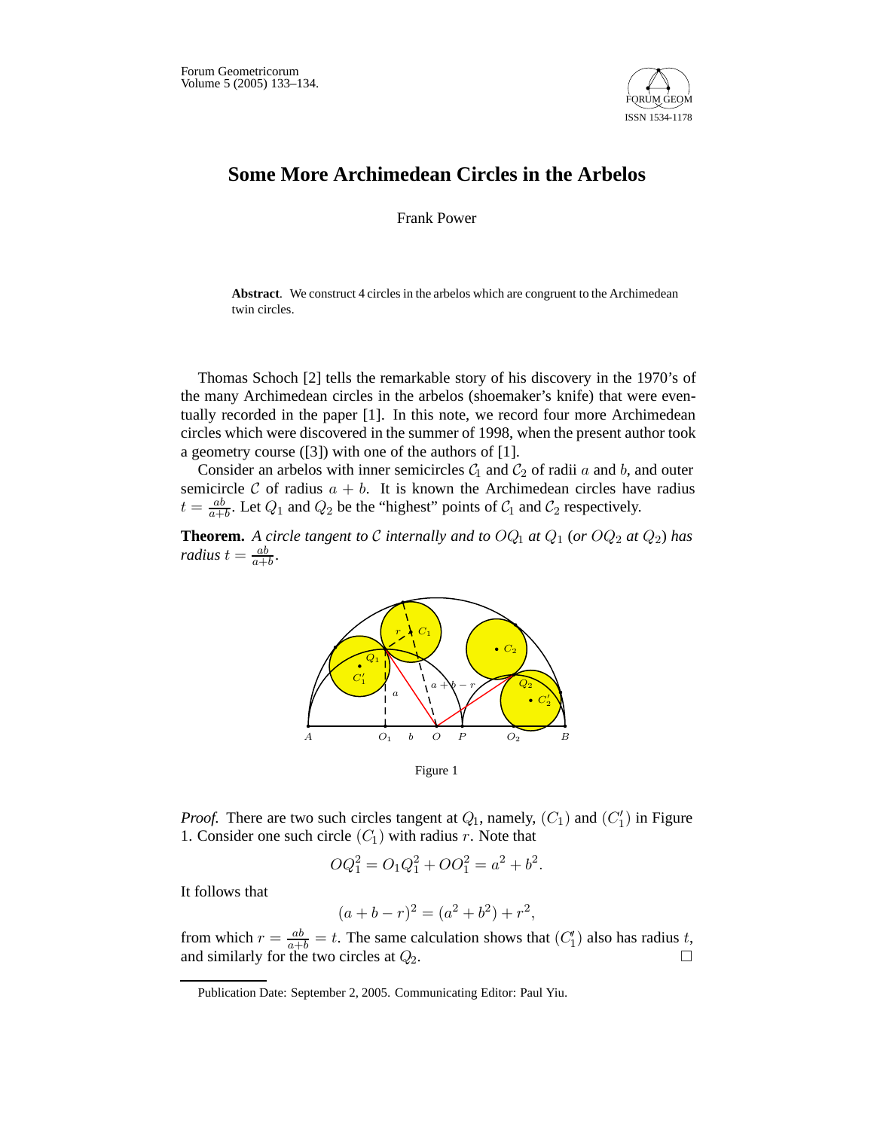

## **Some More Archimedean Circles in the Arbelos**

Frank Power

**Abstract**. We construct 4 circles in the arbelos which are congruent to the Archimedean twin circles.

Thomas Schoch [2] tells the remarkable story of his discovery in the 1970's of the many Archimedean circles in the arbelos (shoemaker's knife) that were eventually recorded in the paper [1]. In this note, we record four more Archimedean circles which were discovered in the summer of 1998, when the present author took a geometry course ([3]) with one of the authors of [1].

Consider an arbelos with inner semicircles  $C_1$  and  $C_2$  of radii  $a$  and  $b$ , and outer semicircle C of radius  $a + b$ . It is known the Archimedean circles have radius  $t = \frac{ab}{a+b}$ . Let  $Q_1$  and  $Q_2$  be the "highest" points of  $C_1$  and  $C_2$  respectively.

**Theorem.** A circle tangent to  $C$  internally and to  $OQ_1$  at  $Q_1$  (or  $OQ_2$  at  $Q_2$ ) has *radius*  $t = \frac{ab}{a+b}$ .



Figure 1

*Proof.* There are two such circles tangent at  $Q_1$ , namely,  $(C_1)$  and  $(C'_1)$  in Figure 1. Consider one such circle  $(C_1)$  with radius  $r$ . Note that

$$
OQ_1^2 = O_1Q_1^2 + OO_1^2 = a^2 + b^2.
$$

It follows that

$$
(a+b-r)^2 = (a^2+b^2) + r^2,
$$

from which  $r = \frac{ab}{a+b} = t$ . The same calculation shows that  $(C'_1)$  also has radius *t*, and similarly for the two circles at  $Q_2$ .

Publication Date: September 2, 2005. Communicating Editor: Paul Yiu.